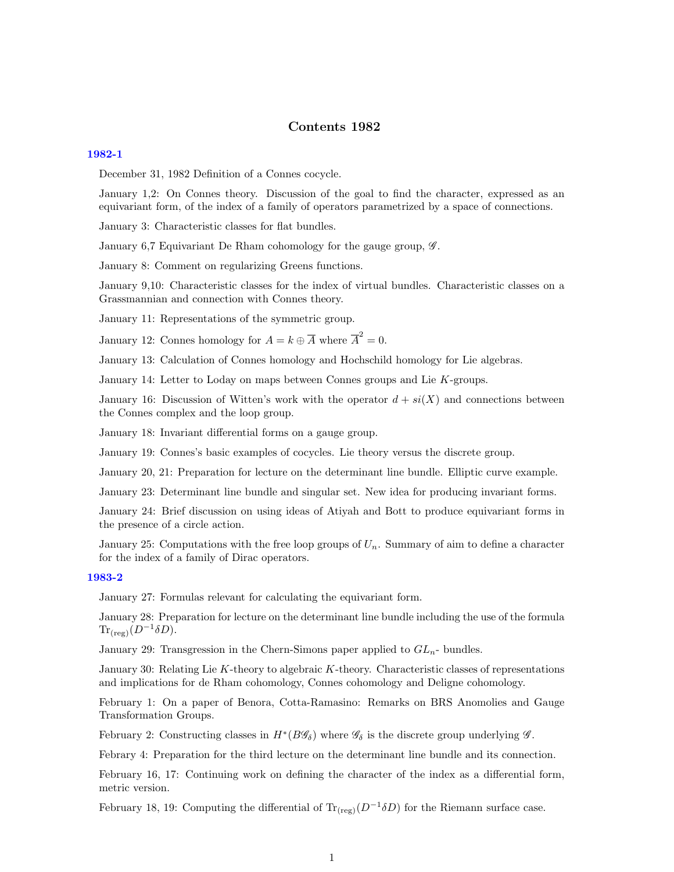# Contents 1982

#### [1982-1](http://www2.maths.ox.ac.uk/cmi/library/Quillen/Working_papers/quillen%201982/1982-1.pdf)

December 31, 1982 Definition of a Connes cocycle.

January 1,2: On Connes theory. Discussion of the goal to find the character, expressed as an equivariant form, of the index of a family of operators parametrized by a space of connections.

January 3: Characteristic classes for flat bundles.

January 6,7 Equivariant De Rham cohomology for the gauge group,  $\mathscr{G}$ .

January 8: Comment on regularizing Greens functions.

January 9,10: Characteristic classes for the index of virtual bundles. Characteristic classes on a Grassmannian and connection with Connes theory.

January 11: Representations of the symmetric group.

January 12: Connes homology for  $A = k \oplus \overline{A}$  where  $\overline{A}^2 = 0$ .

January 13: Calculation of Connes homology and Hochschild homology for Lie algebras.

January 14: Letter to Loday on maps between Connes groups and Lie K-groups.

January 16: Discussion of Witten's work with the operator  $d + si(X)$  and connections between the Connes complex and the loop group.

January 18: Invariant differential forms on a gauge group.

January 19: Connes's basic examples of cocycles. Lie theory versus the discrete group.

January 20, 21: Preparation for lecture on the determinant line bundle. Elliptic curve example.

January 23: Determinant line bundle and singular set. New idea for producing invariant forms.

January 24: Brief discussion on using ideas of Atiyah and Bott to produce equivariant forms in the presence of a circle action.

January 25: Computations with the free loop groups of  $U_n$ . Summary of aim to define a character for the index of a family of Dirac operators.

#### [1983-2](http://www2.maths.ox.ac.uk/cmi/library/Quillen/Working_papers/quillen%201983/1983-2.pdf)

January 27: Formulas relevant for calculating the equivariant form.

January 28: Preparation for lecture on the determinant line bundle including the use of the formula  $\text{Tr}_{(\text{reg})}(D^{-1}\delta D).$ 

January 29: Transgression in the Chern-Simons paper applied to  $GL_n$ - bundles.

January 30: Relating Lie K-theory to algebraic K-theory. Characteristic classes of representations and implications for de Rham cohomology, Connes cohomology and Deligne cohomology.

February 1: On a paper of Benora, Cotta-Ramasino: Remarks on BRS Anomolies and Gauge Transformation Groups.

February 2: Constructing classes in  $H^*(B\mathscr{G}_\delta)$  where  $\mathscr{G}_\delta$  is the discrete group underlying  $\mathscr{G}$ .

Febrary 4: Preparation for the third lecture on the determinant line bundle and its connection.

February 16, 17: Continuing work on defining the character of the index as a differential form, metric version.

February 18, 19: Computing the differential of  $\text{Tr}_{(\text{reg})}(D^{-1}\delta D)$  for the Riemann surface case.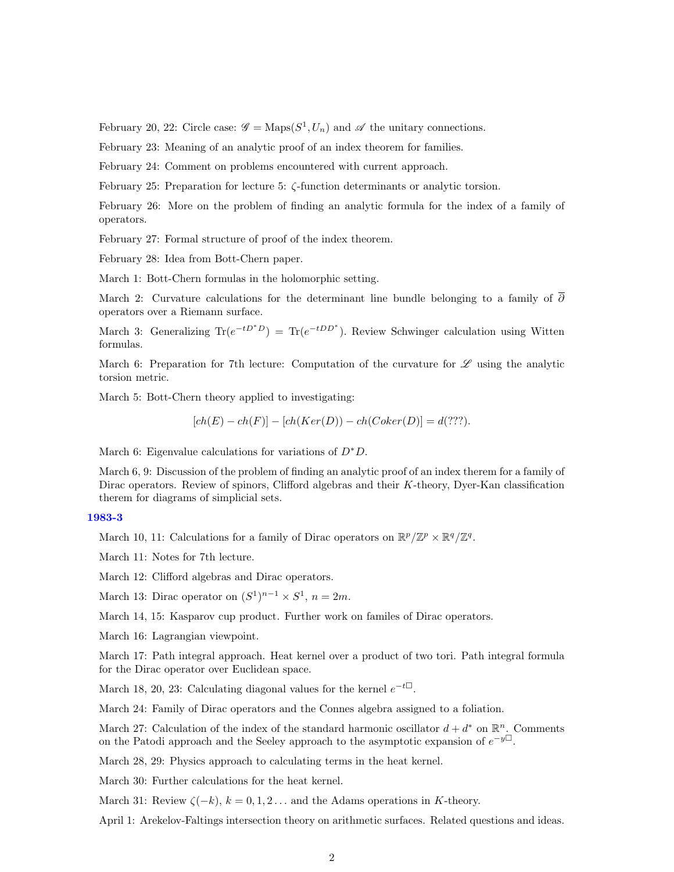February 20, 22: Circle case:  $\mathscr{G} = \text{Maps}(S^1, U_n)$  and  $\mathscr{A}$  the unitary connections.

February 23: Meaning of an analytic proof of an index theorem for families.

February 24: Comment on problems encountered with current approach.

February 25: Preparation for lecture 5: ζ-function determinants or analytic torsion.

February 26: More on the problem of finding an analytic formula for the index of a family of operators.

February 27: Formal structure of proof of the index theorem.

February 28: Idea from Bott-Chern paper.

March 1: Bott-Chern formulas in the holomorphic setting.

March 2: Curvature calculations for the determinant line bundle belonging to a family of  $\partial$ operators over a Riemann surface.

March 3: Generalizing  $\text{Tr}(e^{-tD^*D}) = \text{Tr}(e^{-tDD^*})$ . Review Schwinger calculation using Witten formulas.

March 6: Preparation for 7th lecture: Computation of the curvature for  $\mathscr L$  using the analytic torsion metric.

March 5: Bott-Chern theory applied to investigating:

$$
[ch(E) - ch(F)] - [ch(Ker(D)) - ch(Coker(D))] = d(??').
$$

March 6: Eigenvalue calculations for variations of  $D^*D$ .

March 6, 9: Discussion of the problem of finding an analytic proof of an index therem for a family of Dirac operators. Review of spinors, Clifford algebras and their K-theory, Dyer-Kan classification therem for diagrams of simplicial sets.

## [1983-3](http://www2.maths.ox.ac.uk/cmi/library/Quillen/Working_papers/quillen%201983/1983-3.pdf)

March 10, 11: Calculations for a family of Dirac operators on  $\mathbb{R}^p/\mathbb{Z}^p \times \mathbb{R}^q/\mathbb{Z}^q$ .

March 11: Notes for 7th lecture.

March 12: Clifford algebras and Dirac operators.

March 13: Dirac operator on  $(S^1)^{n-1} \times S^1$ ,  $n = 2m$ .

March 14, 15: Kasparov cup product. Further work on familes of Dirac operators.

March 16: Lagrangian viewpoint.

March 17: Path integral approach. Heat kernel over a product of two tori. Path integral formula for the Dirac operator over Euclidean space.

March 18, 20, 23: Calculating diagonal values for the kernel  $e^{-t\Box}$ .

March 24: Family of Dirac operators and the Connes algebra assigned to a foliation.

March 27: Calculation of the index of the standard harmonic oscillator  $d + d^*$  on  $\mathbb{R}^n$ . Comments on the Patodi approach and the Seeley approach to the asymptotic expansion of  $e^{-y\Box}$ .

March 28, 29: Physics approach to calculating terms in the heat kernel.

March 30: Further calculations for the heat kernel.

March 31: Review  $\zeta(-k)$ ,  $k = 0, 1, 2...$  and the Adams operations in K-theory.

April 1: Arekelov-Faltings intersection theory on arithmetic surfaces. Related questions and ideas.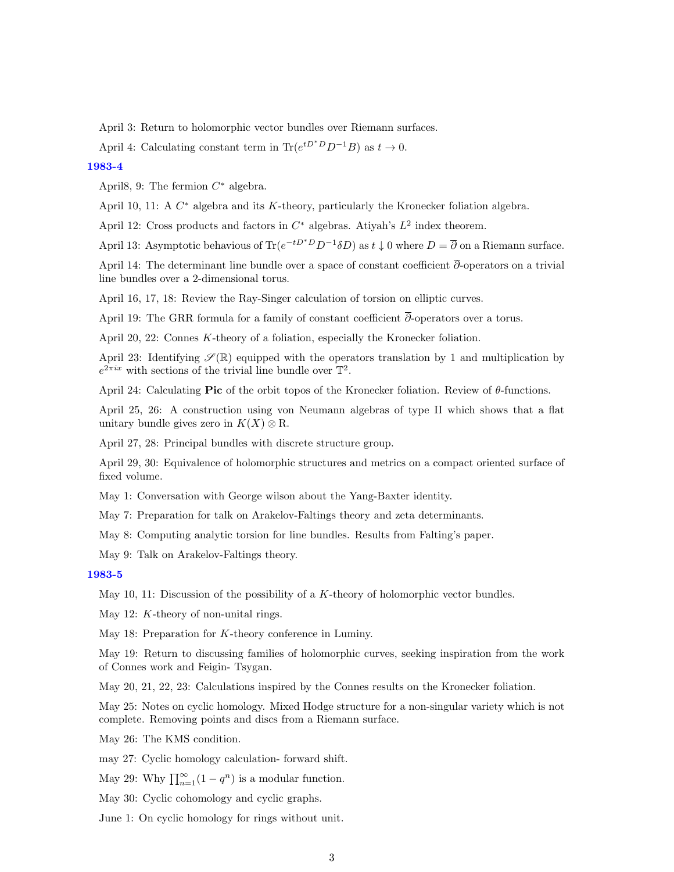April 3: Return to holomorphic vector bundles over Riemann surfaces.

April 4: Calculating constant term in Tr $(e^{tD^*D}D^{-1}B)$  as  $t \to 0$ .

[1983-4](http://www2.maths.ox.ac.uk/cmi/library/Quillen/Working_papers/quillen%201983/1983-4.pdf)

April8, 9: The fermion  $C^*$  algebra.

April 10, 11: A  $C^*$  algebra and its K-theory, particularly the Kronecker foliation algebra.

April 12: Cross products and factors in  $C^*$  algebras. Atiyah's  $L^2$  index theorem.

April 13: Asymptotic behavious of  $\text{Tr}(e^{-tD^*D}D^{-1}\delta D)$  as  $t \downarrow 0$  where  $D = \overline{\partial}$  on a Riemann surface.

April 14: The determinant line bundle over a space of constant coefficient ∂-operators on a trivial line bundles over a 2-dimensional torus.

April 16, 17, 18: Review the Ray-Singer calculation of torsion on elliptic curves.

April 19: The GRR formula for a family of constant coefficient  $\overline{\partial}$ -operators over a torus.

April 20, 22: Connes K-theory of a foliation, especially the Kronecker foliation.

April 23: Identifying  $\mathscr{S}(\mathbb{R})$  equipped with the operators translation by 1 and multiplication by  $e^{2\pi ix}$  with sections of the trivial line bundle over  $\mathbb{T}^2$ .

April 24: Calculating Pic of the orbit topos of the Kronecker foliation. Review of  $θ$ -functions.

April 25, 26: A construction using von Neumann algebras of type II which shows that a flat unitary bundle gives zero in  $K(X) \otimes \mathbb{R}$ .

April 27, 28: Principal bundles with discrete structure group.

April 29, 30: Equivalence of holomorphic structures and metrics on a compact oriented surface of fixed volume.

May 1: Conversation with George wilson about the Yang-Baxter identity.

May 7: Preparation for talk on Arakelov-Faltings theory and zeta determinants.

May 8: Computing analytic torsion for line bundles. Results from Falting's paper.

May 9: Talk on Arakelov-Faltings theory.

#### [1983-5](http://www2.maths.ox.ac.uk/cmi/library/Quillen/Working_papers/quillen%201983/1983-5.pdf)

May 10, 11: Discussion of the possibility of a  $K$ -theory of holomorphic vector bundles.

May 12: *K*-theory of non-unital rings.

May 18: Preparation for K-theory conference in Luminy.

May 19: Return to discussing families of holomorphic curves, seeking inspiration from the work of Connes work and Feigin- Tsygan.

May 20, 21, 22, 23: Calculations inspired by the Connes results on the Kronecker foliation.

May 25: Notes on cyclic homology. Mixed Hodge structure for a non-singular variety which is not complete. Removing points and discs from a Riemann surface.

May 26: The KMS condition.

may 27: Cyclic homology calculation- forward shift.

May 29: Why  $\prod_{n=1}^{\infty} (1 - q^n)$  is a modular function.

May 30: Cyclic cohomology and cyclic graphs.

June 1: On cyclic homology for rings without unit.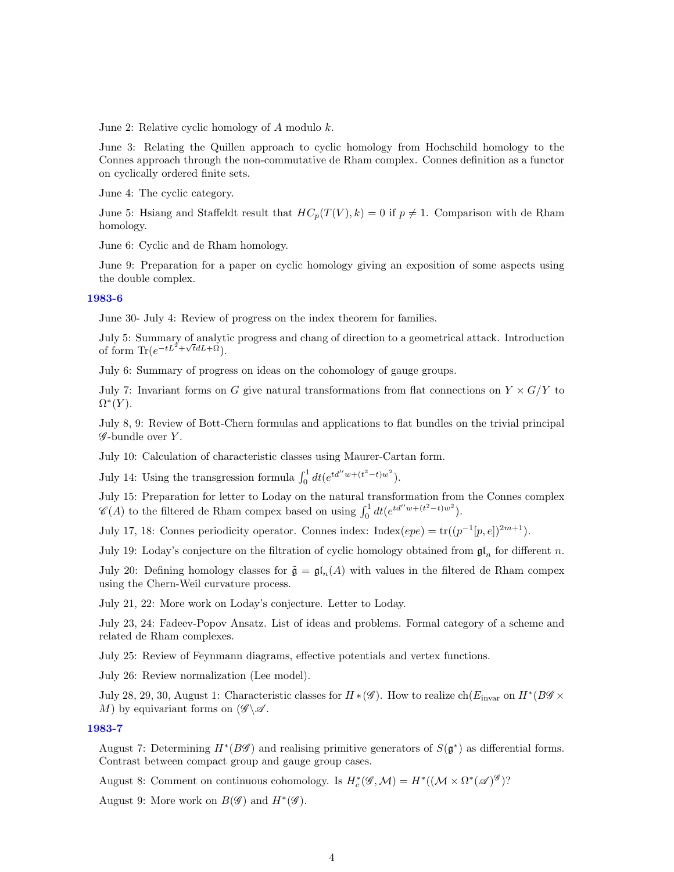June 2: Relative cyclic homology of  $A$  modulo  $k$ .

June 3: Relating the Quillen approach to cyclic homology from Hochschild homology to the Connes approach through the non-commutative de Rham complex. Connes definition as a functor on cyclically ordered finite sets.

June 4: The cyclic category.

June 5: Hsiang and Staffeldt result that  $HC_p(T(V), k) = 0$  if  $p \neq 1$ . Comparison with de Rham homology.

June 6: Cyclic and de Rham homology.

June 9: Preparation for a paper on cyclic homology giving an exposition of some aspects using the double complex.

#### [1983-6](http://www2.maths.ox.ac.uk/cmi/library/Quillen/Working_papers/quillen%201983/1983-6.pdf)

June 30- July 4: Review of progress on the index theorem for families.

July 5: Summary of analytic progress and chang of direction to a geometrical attack. Introduction √ of form  $\text{Tr}(e^{-tL^2 + \sqrt{t}dL + \tilde{\Omega}}).$ 

July 6: Summary of progress on ideas on the cohomology of gauge groups.

July 7: Invariant forms on G give natural transformations from flat connections on  $Y \times G/Y$  to  $\Omega^*(Y)$ .

July 8, 9: Review of Bott-Chern formulas and applications to flat bundles on the trivial principal  $\mathscr G$ -bundle over Y.

July 10: Calculation of characteristic classes using Maurer-Cartan form.

July 14: Using the transgression formula  $\int_0^1 dt (e^{td''w + (t^2 - t)w^2})$ .

July 15: Preparation for letter to Loday on the natural transformation from the Connes complex  $\mathscr{C}(A)$  to the filtered de Rham compex based on using  $\int_0^1 dt (e^{td''w + (t^2 - t)w^2})$ .

July 17, 18: Connes periodicity operator. Connes index: Index( $epe$ ) =  $tr((p^{-1}[p, e])^{2m+1})$ .

July 19: Loday's conjecture on the filtration of cyclic homology obtained from  $\mathfrak{gl}_n$  for different n.

July 20: Defining homology classes for  $\tilde{\mathfrak{g}} = \mathfrak{gl}_n(A)$  with values in the filtered de Rham compex using the Chern-Weil curvature process.

July 21, 22: More work on Loday's conjecture. Letter to Loday.

July 23, 24: Fadeev-Popov Ansatz. List of ideas and problems. Formal category of a scheme and related de Rham complexes.

July 25: Review of Feynmann diagrams, effective potentials and vertex functions.

July 26: Review normalization (Lee model).

July 28, 29, 30, August 1: Characteristic classes for  $H * (\mathscr{G})$ . How to realize ch $(E_{\text{invar}})$  on  $H^* (B \mathscr{G} \times$ M) by equivariant forms on  $(\mathscr{G}\backslash\mathscr{A})$ .

# [1983-7](http://www2.maths.ox.ac.uk/cmi/library/Quillen/Working_papers/quillen%201983/1983-7.pdf)

August 7: Determining  $H^*(B\mathscr{G})$  and realising primitive generators of  $S(\mathfrak{g}^*)$  as differential forms. Contrast between compact group and gauge group cases.

August 8: Comment on continuous cohomology. Is  $H_c^*(\mathscr{G},\mathcal{M}) = H^*((\mathcal{M} \times \Omega^*(\mathscr{A})^{\mathscr{G}})$ ?

August 9: More work on  $B(\mathscr{G})$  and  $H^*(\mathscr{G})$ .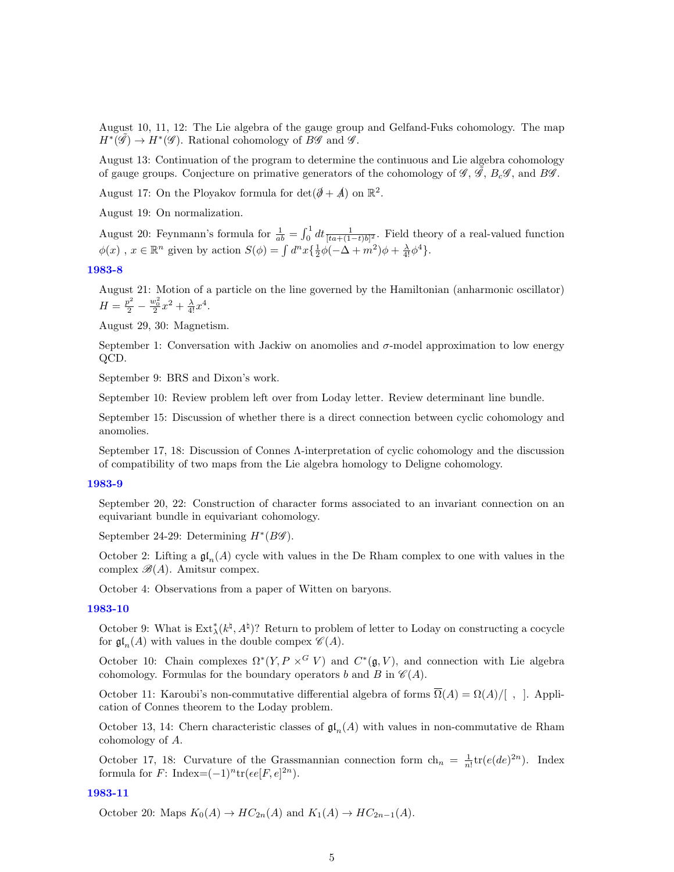August 10, 11, 12: The Lie algebra of the gauge group and Gelfand-Fuks cohomology. The map  $H^*(\tilde{\mathscr{G}}) \to H^*(\mathscr{G})$ . Rational cohomology of  $B\mathscr{G}$  and  $\mathscr{G}$ .

August 13: Continuation of the program to determine the continuous and Lie algebra cohomology of gauge groups. Conjecture on primative generators of the cohomology of  $\mathscr{G}, \mathscr{G}, B_c\mathscr{G}$ , and B $\mathscr{G}$ .

August 17: On the Ployakov formula for  $\det(\mathcal{J} + \mathcal{A})$  on  $\mathbb{R}^2$ .

August 19: On normalization.

August 20: Feynmann's formula for  $\frac{1}{ab} = \int_0^1 dt \frac{1}{[ta + (1-t)b]^2}$ . Field theory of a real-valued function  $\phi(x)$ ,  $x \in \mathbb{R}^n$  given by action  $S(\phi) = \int d^n x \{ \frac{1}{2} \dot{\phi}(-\Delta + m^2) \phi + \frac{\lambda}{4!} \phi^4 \}.$ 

## [1983-8](http://www2.maths.ox.ac.uk/cmi/library/Quillen/Working_papers/quillen%201983/1983-8.pdf)

August 21: Motion of a particle on the line governed by the Hamiltonian (anharmonic oscillator)  $H = \frac{p^2}{2} - \frac{w_0^2}{2}x^2 + \frac{\lambda}{4!}x^4.$ 

August 29, 30: Magnetism.

September 1: Conversation with Jackiw on anomolies and  $\sigma$ -model approximation to low energy QCD.

September 9: BRS and Dixon's work.

September 10: Review problem left over from Loday letter. Review determinant line bundle.

September 15: Discussion of whether there is a direct connection between cyclic cohomology and anomolies.

September 17, 18: Discussion of Connes Λ-interpretation of cyclic cohomology and the discussion of compatibility of two maps from the Lie algebra homology to Deligne cohomology.

#### [1983-9](http://www2.maths.ox.ac.uk/cmi/library/Quillen/Working_papers/quillen%201983/1983-9.pdf)

September 20, 22: Construction of character forms associated to an invariant connection on an equivariant bundle in equivariant cohomology.

September 24-29: Determining  $H^*(B\mathscr{G})$ .

October 2: Lifting a  $\mathfrak{gl}_n(A)$  cycle with values in the De Rham complex to one with values in the complex  $\mathscr{B}(A)$ . Amitsur compex.

October 4: Observations from a paper of Witten on baryons.

### [1983-10](http://www2.maths.ox.ac.uk/cmi/library/Quillen/Working_papers/quillen%201983/1983-10.pdf)

October 9: What is  $\text{Ext}^*_{\lambda}(k^{\natural}, A^{\natural})$ ? Return to problem of letter to Loday on constructing a cocycle for  $\mathfrak{gl}_n(A)$  with values in the double compex  $\mathscr{C}(A)$ .

October 10: Chain complexes  $\Omega^*(Y, P \times^G V)$  and  $C^*(\mathfrak{g}, V)$ , and connection with Lie algebra cohomology. Formulas for the boundary operators b and B in  $\mathcal{C}(A)$ .

October 11: Karoubi's non-commutative differential algebra of forms  $\overline{\Omega}(A) = \Omega(A)/[$ , [. Application of Connes theorem to the Loday problem.

October 13, 14: Chern characteristic classes of  $\mathfrak{gl}_n(A)$  with values in non-commutative de Rham cohomology of A.

October 17, 18: Curvature of the Grassmannian connection form  $\ch_n = \frac{1}{n!} \text{tr}(e(de)^{2n})$ . Index formula for  $F$ : Index= $(-1)^n$ tr $(\epsilon e[F, e]^{2n})$ .

## [1983-11](http://www2.maths.ox.ac.uk/cmi/library/Quillen/Working_papers/quillen%201983/1983-11.pdf)

October 20: Maps  $K_0(A) \to HC_{2n}(A)$  and  $K_1(A) \to HC_{2n-1}(A)$ .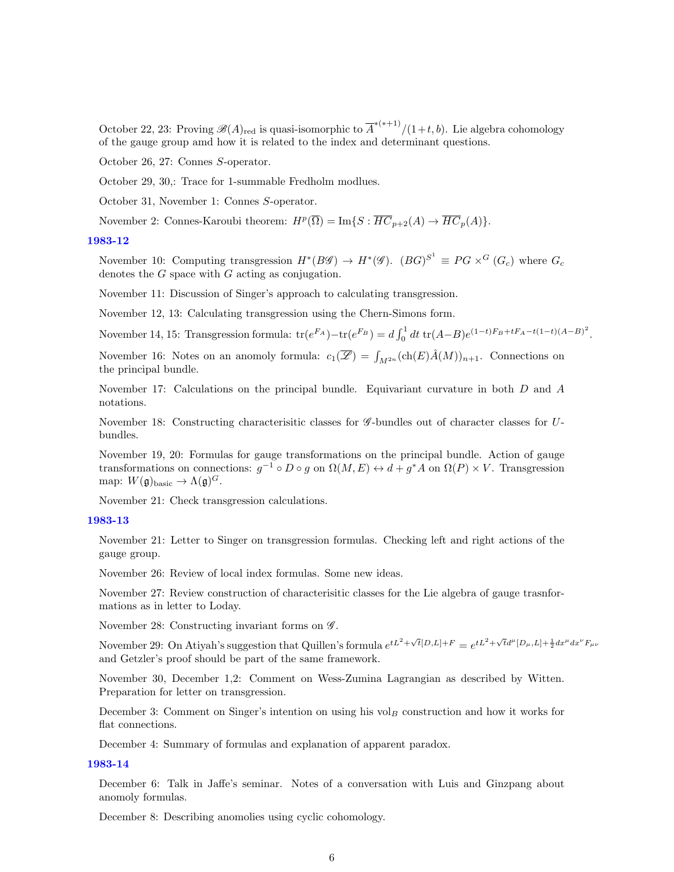October 22, 23: Proving  $\mathscr{B}(A)_{\text{red}}$  is quasi-isomorphic to  $\overline{A}^{*(*+1)}/(1+t,b)$ . Lie algebra cohomology of the gauge group amd how it is related to the index and determinant questions.

October 26, 27: Connes S-operator.

October 29, 30,: Trace for 1-summable Fredholm modlues.

October 31, November 1: Connes S-operator.

November 2: Connes-Karoubi theorem:  $H^p(\overline{\Omega}) = \text{Im}\{S : \overline{HC}_{p+2}(A) \to \overline{HC}_p(A)\}.$ 

#### [1983-12](http://www2.maths.ox.ac.uk/cmi/library/Quillen/Working_papers/quillen%201983/1983-12.pdf)

November 10: Computing transgression  $H^*(B\mathscr{G}) \to H^*(\mathscr{G})$ .  $(BG)^{S^1} \equiv PG \times^G (G_c)$  where  $G_c$ denotes the G space with G acting as conjugation.

November 11: Discussion of Singer's approach to calculating transgression.

November 12, 13: Calculating transgression using the Chern-Simons form.

November 14, 15: Transgression formula:  $tr(e^{F_A}) - tr(e^{F_B}) = d \int_0^1 dt \ tr(A-B) e^{(1-t)F_B + tF_A - t(1-t)(A-B)^2}$ .

November 16: Notes on an anomoly formula:  $c_1(\overline{\mathscr{L}}) = \int_{M^{2n}} (\text{ch}(E) \hat{A}(M))_{n+1}$ . Connections on the principal bundle.

November 17: Calculations on the principal bundle. Equivariant curvature in both  $D$  and  $A$ notations.

November 18: Constructing characterisitic classes for  $\mathscr{G}$ -bundles out of character classes for  $U$ bundles.

November 19, 20: Formulas for gauge transformations on the principal bundle. Action of gauge transformations on connections:  $g^{-1} \circ D \circ g$  on  $\Omega(M, E) \leftrightarrow d + g^*A$  on  $\Omega(P) \times V$ . Transgression map:  $W(\mathfrak{g})_{\text{basic}} \to \Lambda(\mathfrak{g})^G$ .

November 21: Check transgression calculations.

## [1983-13](http://www2.maths.ox.ac.uk/cmi/library/Quillen/Working_papers/quillen%201983/1983-13.pdf)

November 21: Letter to Singer on transgression formulas. Checking left and right actions of the gauge group.

November 26: Review of local index formulas. Some new ideas.

November 27: Review construction of characterisitic classes for the Lie algebra of gauge trasnformations as in letter to Loday.

November 28: Constructing invariant forms on  $\mathscr{G}$ .

November 29: On Atiyah's suggestion that Quillen's formula  $e^{tL^2 + \sqrt{t}[D,L]+F} = e^{tL^2 + \sqrt{t}d^{\mu}[D_{\mu},L]+ \frac{1}{2}dx^{\mu}dx^{\nu}F_{\mu\nu}}$ and Getzler's proof should be part of the same framework.

November 30, December 1,2: Comment on Wess-Zumina Lagrangian as described by Witten. Preparation for letter on transgression.

December 3: Comment on Singer's intention on using his vol<sub>B</sub> construction and how it works for flat connections.

December 4: Summary of formulas and explanation of apparent paradox.

## [1983-14](http://www2.maths.ox.ac.uk/cmi/library/Quillen/Working_papers/quillen%201983/1983-14.pdf)

December 6: Talk in Jaffe's seminar. Notes of a conversation with Luis and Ginzpang about anomoly formulas.

December 8: Describing anomolies using cyclic cohomology.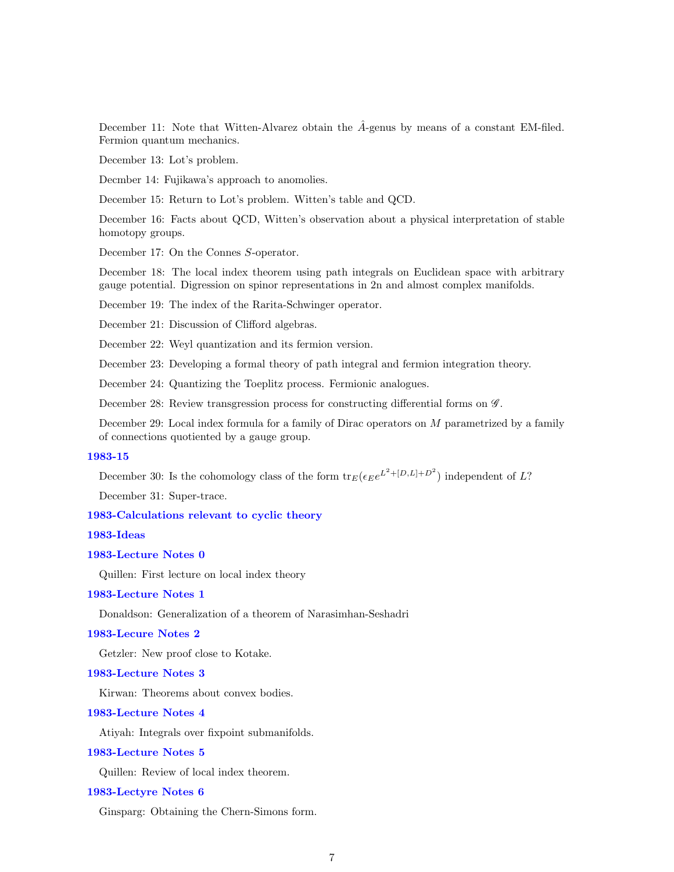December 11: Note that Witten-Alvarez obtain the  $\hat{A}$ -genus by means of a constant EM-filed. Fermion quantum mechanics.

December 13: Lot's problem.

Decmber 14: Fujikawa's approach to anomolies.

December 15: Return to Lot's problem. Witten's table and QCD.

December 16: Facts about QCD, Witten's observation about a physical interpretation of stable homotopy groups.

December 17: On the Connes S-operator.

December 18: The local index theorem using path integrals on Euclidean space with arbitrary gauge potential. Digression on spinor representations in 2n and almost complex manifolds.

December 19: The index of the Rarita-Schwinger operator.

December 21: Discussion of Clifford algebras.

December 22: Weyl quantization and its fermion version.

December 23: Developing a formal theory of path integral and fermion integration theory.

December 24: Quantizing the Toeplitz process. Fermionic analogues.

December 28: Review transgression process for constructing differential forms on  $\mathscr{G}$ .

December 29: Local index formula for a family of Dirac operators on  $M$  parametrized by a family of connections quotiented by a gauge group.

#### [1983-15](http://www2.maths.ox.ac.uk/cmi/library/Quillen/Working_papers/quillen%201983/1983-15.pdf)

December 30: Is the cohomology class of the form  ${\rm tr}_E(\epsilon_E e^{L^2 + [D,L]+D^2})$  independent of L?

December 31: Super-trace.

## [1983-Calculations relevant to cyclic theory](http://www2.maths.ox.ac.uk/cmi/library/Quillen/Working_papers/quillen%201983/1983-Calculations relevant to cyclic theory.pdf)

[1983-Ideas](http://www2.maths.ox.ac.uk/cmi/library/Quillen/Working_papers/quillen%201983/1983-Ideas.pdf)

### [1983-Lecture Notes 0](http://www2.maths.ox.ac.uk/cmi/library/Quillen/Working_papers/quillen%201983/1983-Lecture Notes 0.pdf)

Quillen: First lecture on local index theory

## [1983-Lecture Notes 1](http://www2.maths.ox.ac.uk/cmi/library/Quillen/Working_papers/quillen%201983/1983-Lecture Notes 1.pdf)

Donaldson: Generalization of a theorem of Narasimhan-Seshadri

## [1983-Lecure Notes 2](http://www2.maths.ox.ac.uk/cmi/library/Quillen/Working_papers/quillen%201983/1983-Lecure Notes 2.pdf)

Getzler: New proof close to Kotake.

#### [1983-Lecture Notes 3](http://www2.maths.ox.ac.uk/cmi/library/Quillen/Working_papers/quillen%201983/1983-Lecture Notes 3.pdf)

Kirwan: Theorems about convex bodies.

#### [1983-Lecture Notes 4](http://www2.maths.ox.ac.uk/cmi/library/Quillen/Working_papers/quillen%201983/1983-Lecture Notes 4.pdf)

Atiyah: Integrals over fixpoint submanifolds.

#### [1983-Lecture Notes 5](http://www2.maths.ox.ac.uk/cmi/library/Quillen/Working_papers/quillen%201983/1983-Lecture Notes 5.pdf)

Quillen: Review of local index theorem.

## [1983-Lectyre Notes 6](http://www2.maths.ox.ac.uk/cmi/library/Quillen/Working_papers/quillen%201983/1983-Lectyre Notes 6.pdf)

Ginsparg: Obtaining the Chern-Simons form.